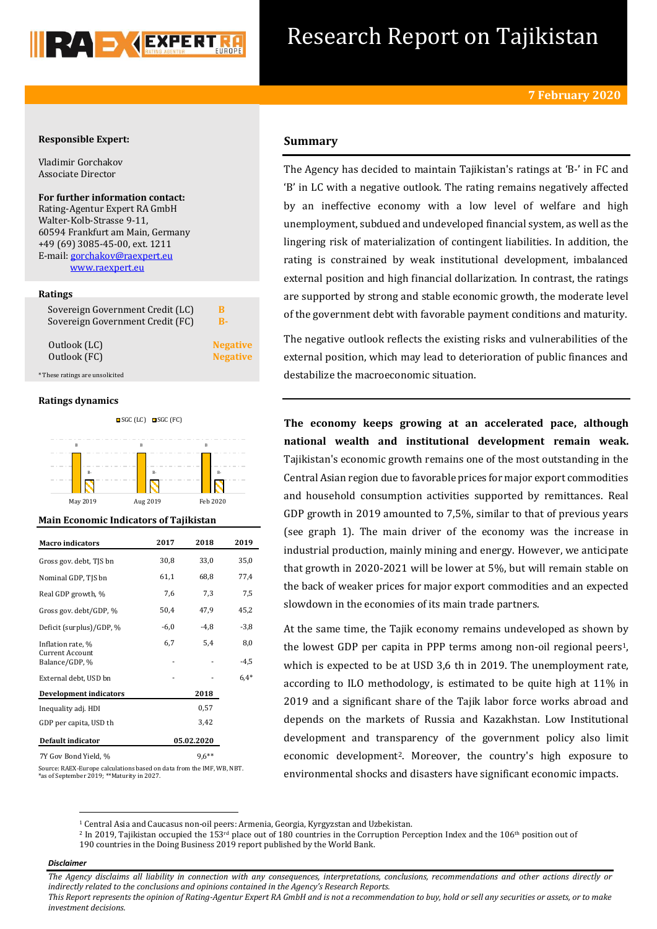

# Research Report on Tajikistan

## **Responsible Expert:**

Vladimir Gorchakov Associate Director

**For further information contact:** Rating-Agentur Expert RA GmbH Walter-Kolb-Strasse 9-11, 60594 Frankfurt am Main, Germany +49 (69) 3085-45-00, ext. 1211 E-mail[: gorchakov@raexpert.eu](mailto:gorchakov@raexpert.eu)  [www.raexpert.eu](http://raexpert.eu/)

## **Ratings**

Sovereign Government Credit (LC) **B** Sovereign Government Credit (FC) **B-**

Outlook (FC) **Negative** 

Outlook (LC) **Negative** 

\* These ratings are unsolicited

#### **Ratings dynamics**



#### **Main Economic Indicators of Tajikistan**

| <b>Macro</b> indicators                                       | 2017       | 2018    | 2019          |
|---------------------------------------------------------------|------------|---------|---------------|
| Gross gov. debt, TJS bn                                       | 30,8       | 33,0    | 35,0          |
| Nominal GDP, TJS bn                                           | 61,1       | 68,8    | 77,4          |
| Real GDP growth, %                                            | 7,6        | 7,3     | 7,5           |
| Gross gov. debt/GDP, %                                        | 50,4       | 47,9    | 45,2          |
| Deficit (surplus)/GDP, %                                      | $-6,0$     | -4,8    | $-3,8$        |
| Inflation rate, %<br><b>Current Account</b><br>Balance/GDP, % | 6,7        | 5,4     | 8,0<br>$-4,5$ |
| External debt, USD bn                                         |            |         | $6.4*$        |
| Development indicators                                        |            | 2018    |               |
| Inequality adj. HDI                                           |            | 0,57    |               |
| GDP per capita, USD th                                        |            | 3,42    |               |
| Default indicator                                             | 05.02.2020 |         |               |
| 7Y Gov Bond Yield, %                                          |            | $9,6**$ |               |

Source: RAEX-Europe calculations based on data from the IMF, WB, NBT. \*as of September 2019; \*\*Maturity in 2027.

# **Summary**

The Agency has decided to maintain Tajikistan's ratings at 'B-' in FC and 'B' in LC with a negative outlook. The rating remains negatively affected by an ineffective economy with a low level of welfare and high unemployment, subdued and undeveloped financial system, as well as the lingering risk of materialization of contingent liabilities. In addition, the rating is constrained by weak institutional development, imbalanced external position and high financial dollarization. In contrast, the ratings are supported by strong and stable economic growth, the moderate level of the government debt with favorable payment conditions and maturity.

The negative outlook reflects the existing risks and vulnerabilities of the external position, which may lead to deterioration of public finances and destabilize the macroeconomic situation.

**The economy keeps growing at an accelerated pace, although national wealth and institutional development remain weak.** Tajikistan's economic growth remains one of the most outstanding in the Central Asian region due to favorable prices for major export commodities and household consumption activities supported by remittances. Real GDP growth in 2019 amounted to 7,5%, similar to that of previous years (see graph 1). The main driver of the economy was the increase in industrial production, mainly mining and energy. However, we anticipate that growth in 2020-2021 will be lower at 5%, but will remain stable on the back of weaker prices for major export commodities and an expected slowdown in the economies of its main trade partners.

At the same time, the Tajik economy remains undeveloped as shown by the lowest GDP per capita in PPP terms among non-oil regional peers<sup>1</sup>, which is expected to be at USD 3,6 th in 2019. The unemployment rate, according to ILO methodology, is estimated to be quite high at 11% in 2019 and a significant share of the Tajik labor force works abroad and depends on the markets of Russia and Kazakhstan. Low Institutional development and transparency of the government policy also limit economic development2. Moreover, the country's high exposure to environmental shocks and disasters have significant economic impacts.

#### *Disclaimer*

1

*The Agency disclaims all liability in connection with any consequences, interpretations, conclusions, recommendations and other actions directly or indirectly related to the conclusions and opinions contained in the Agency's Research Reports.*

*This Report represents the opinion of Rating-Agentur Expert RA GmbH and is not a recommendation to buy, hold or sell any securities or assets, or to make investment decisions.*

<sup>1</sup> Central Asia and Caucasus non-oil peers: Armenia, Georgia, Kyrgyzstan and Uzbekistan.

<sup>&</sup>lt;sup>2</sup> In 2019, Tajikistan occupied the 153<sup>rd</sup> place out of 180 countries in the Corruption Perception Index and the 106<sup>th</sup> position out of 190 countries in the Doing Business 2019 report published by the World Bank.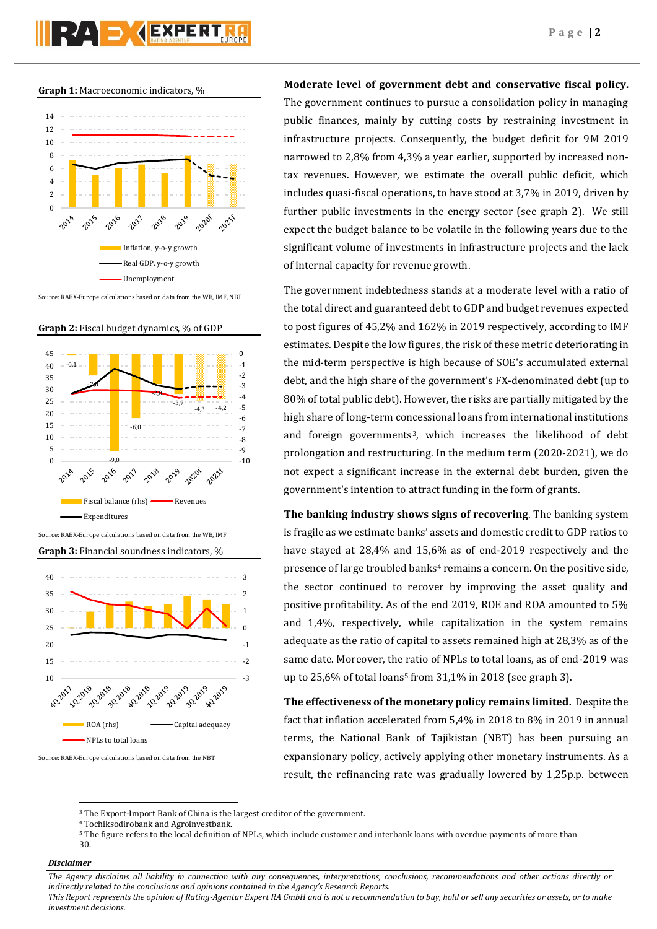#### **Graph 1:** Macroeconomic indicators, %



Source: RAEX-Europe calculations based on data from the WB, IMF, NBT





Source: RAEX-Europe calculations based on data from the WB, IMF

**Graph 3:** Financial soundness indicators, %



Source: RAEX-Europe calculations based on data from the NBT

**Moderate level of government debt and conservative fiscal policy.** The government continues to pursue a consolidation policy in managing public finances, mainly by cutting costs by restraining investment in infrastructure projects. Consequently, the budget deficit for 9M 2019 narrowed to 2,8% from 4,3% a year earlier, supported by increased nontax revenues. However, we estimate the overall public deficit, which includes quasi-fiscal operations, to have stood at 3,7% in 2019, driven by further public investments in the energy sector (see graph 2). We still expect the budget balance to be volatile in the following years due to the significant volume of investments in infrastructure projects and the lack of internal capacity for revenue growth.

The government indebtedness stands at a moderate level with a ratio of the total direct and guaranteed debt to GDP and budget revenues expected to post figures of 45,2% and 162% in 2019 respectively, according to IMF estimates. Despite the low figures, the risk of these metric deteriorating in the mid-term perspective is high because of SOE's accumulated external debt, and the high share of the government's FX-denominated debt (up to 80% of total public debt). However, the risks are partially mitigated by the high share of long-term concessional loans from international institutions and foreign governments<sup>3</sup>, which increases the likelihood of debt prolongation and restructuring. In the medium term (2020-2021), we do not expect a significant increase in the external debt burden, given the government's intention to attract funding in the form of grants.

**The banking industry shows signs of recovering**. The banking system is fragile as we estimate banks' assets and domestic credit to GDP ratios to have stayed at 28,4% and 15,6% as of end-2019 respectively and the presence of large troubled banks<sup>4</sup> remains a concern. On the positive side, the sector continued to recover by improving the asset quality and positive profitability. As of the end 2019, ROE and ROA amounted to 5% and 1,4%, respectively, while capitalization in the system remains adequate as the ratio of capital to assets remained high at 28,3% as of the same date. Moreover, the ratio of NPLs to total loans, as of end-2019 was up to 25,6% of total loans<sup>5</sup> from  $31,1\%$  in 2018 (see graph 3).

**The effectiveness of the monetary policy remains limited.** Despite the fact that inflation accelerated from 5,4% in 2018 to 8% in 2019 in annual terms, the National Bank of Tajikistan (NBT) has been pursuing an expansionary policy, actively applying other monetary instruments. As a result, the refinancing rate was gradually lowered by 1,25p.p. between

- <sup>4</sup> Tochiksodirobank and Agroinvestbank.
- <sup>5</sup> The figure refers to the local definition of NPLs, which include customer and interbank loans with overdue payments of more than 30.

# *Disclaimer*

1

*The Agency disclaims all liability in connection with any consequences, interpretations, conclusions, recommendations and other actions directly or indirectly related to the conclusions and opinions contained in the Agency's Research Reports.*

*This Report represents the opinion of Rating-Agentur Expert RA GmbH and is not a recommendation to buy, hold or sell any securities or assets, or to make investment decisions.*

<sup>&</sup>lt;sup>3</sup> The Export-Import Bank of China is the largest creditor of the government.